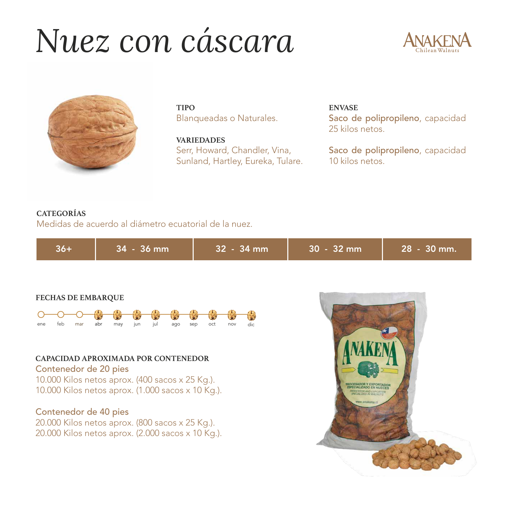# *Nuez con cáscara*





**TIPO** Blanqueadas o Naturales.

**VARIEDADES** Serr, Howard, Chandler, Vina, Sunland, Hartley, Eureka, Tulare. **ENVASE** Saco de polipropileno, capacidad 25 kilos netos.

Saco de polipropileno, capacidad 10 kilos netos.

# **CATEGORÍAS**

Medidas de acuerdo al diámetro ecuatorial de la nuez.

| 36+ | $34 - 36$ mm | $32 - 34$ mm | $130 - 32$ mm | $28 - 30$ mm. |
|-----|--------------|--------------|---------------|---------------|
|-----|--------------|--------------|---------------|---------------|

#### **FECHAS DE EMBARQUE**



### **CAPACIDAD APROXIMADA POR CONTENEDOR**

Contenedor de 20 pies 10.000 Kilos netos aprox. (400 sacos x 25 Kg.). 10.000 Kilos netos aprox. (1.000 sacos x 10 Kg.).

### Contenedor de 40 pies

20.000 Kilos netos aprox. (800 sacos x 25 Kg.). 20.000 Kilos netos aprox. (2.000 sacos x 10 Kg.).